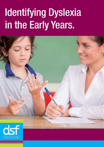# Identifying Dyslexia in the Early Years.

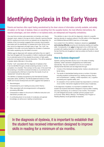# Identifying Dyslexia in the Early Years

Parents and teachers often report feeling overwhelmed by the sheer volume of information currently available, and widely circulated, on the topic of dyslexia. Views on everything from the causative factors, the most effective interventions, the reported advantages, and even whether or not dyslexia exists, are widespread and frequently contradictory.

One area that promotes quite passionate commentary, and clearly divergent views, relates to the age at which a Specific Learning Disorder (SLD) in reading (commonly known as dyslexia) can be diagnosed. An analysis of this commentary suggests that a popular misconception associated with the identification of dyslexia (and other SLDs) is that they cannot be diagnosed until eight years of age. This 'myth' has prevailed in the wider community despite the circulation of extensive information explaining why this belief is incorrect.

Children can be diagnosed with dyslexia well before they turn eight if they have struggled with the acquisition of skills in reading (and spelling) for an extended period of time despite the provision of high quality instruction and appropriate intensive intervention. This will be explained in greater detail a little later in this article.

Another 'myth' associated with the diagnosis of dyslexia is that it can be identified through a simple screening process or via the completion of a checklist. This is simply not the case. In the event that the screening or checklist is reviewed remotely (i.e. by someone who is not assessing the child face-to-face) then the results of such an 'assessment' should be discounted.

The definition of dyslexia recognised by the International Dyslexia Association (IDA), AUSPELD, the NICHD (National Institute of Child Health and Human Development) and DSF suggests that dyslexia is:

- **Neurobiological**
- Characterised by poor reading accuracy and/or fluency
- Often associated with phonological (and/or orthographic) processing difficulties
- Unexpected in relation to the amount of effective instruction and intervention provided, and
- A contributing factor to low levels of vocabulary and general knowledge, as well as poor reading comprehension.

This definition is also in line with the diagnostic criteria for a specific learning disorder (in reading) outlined in the fifth edition of the Diagnostic and Statistical Manual (DSM 5) (see box on final page).

As is evident from this definition, Dyslexia is viewed as a **persistent** and enduring difficulty acquiring and developing reading and spelling skills. Consequently, it can **only** be diagnosed once a child has been provided with reading instruction of sufficient quality and duration, that the fact that they are struggling to read accurately and fluently is viewed as surprising.

# How is Dyslexia diagnosed?

Specific Learning Disorders (SLDs) occur in the areas of reading (dyslexia), written expression (dysgraphia) and mathematics (dyscalculia). They are considered to be one of a number of developmental disorders and are diagnosed through:

- A review of the individual's developmental, medical, educational and family history,
- The results of standardised testing across a number of domains including academic achievement (e.g. reading accuracy, fluency and comprehension / spelling / written expression, etc.); cognitive processing and cognitive ability; and,
- An evaluation of how well the student has responded to a minimum of six months' intervention targeted at his/her area of weakness.

In the diagnosis of dyslexia, it is important to establish that the student has received intervention designed to improve skills in reading (accuracy and fluency), for a minimum of six months. The inclusion of a well-designed structured, synthetic phonics program (such as Sounds~Write, MiniLit, MacqLit, The Reading Tutor Program or Reading Mastery) would generally be expected.

In the diagnosis of dyslexia, it is important to establish that the student has received intervention designed to improve skills in reading for a minimum of six months.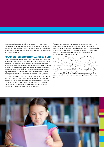In most cases the assessment will be carried out by a psychologist, with knowledge and experience in education. The written report should provide information outlining the likely functional impact for the student in the classroom and also offer clear recommendations for both intervention and accommodations.

# At what age can a diagnosis of Dyslexia be made?

Many schools screen children prior to year one (aged four, five and/or six) to identify the students at risk of ongoing language, learning and literacy difficulties. Early screening, conducted by the classroom teacher or a speech pathologist, is of enormous value but its purpose is not to identify students with dyslexia. Its purpose is to identify students in need of early intervention and support and to ensure that steps are taken to put this in place as quickly as possible. At this stage the emphasis is often on building the foundation skills necessary for successful literacy learning.

Once structured reading instruction commences – usually in Foundation / year one - there may be some students who continue to struggle despite the early support provided. These students will require explicit, intensive instruction to avoid falling further behind their peers. With this level of intervention, most students will make excellent progress but in some cases a more individualised response will be necessary.

A comprehensive assessment may be of value to assist in determining the profile and needs of the student. It may also be of importance to determine whether the student has a language impairment (conducted by a speech pathologist) or learning disorder (conducted by a psychologist) and, more importantly, to identify and recommend appropriate instructional and resourcing strategies.

In the event that a child is assessed for a possible Reading Disorder (Dyslexia), consideration is given to the quality and consistency of early reading instruction, in addition to the nature and duration of any intervention specifically targeting the development of reading skills. How well the student has responded to at least six months of intensive (either small group or one-on-one) intervention in reading is of central importance in the diagnostic process (see Criteria A - Following page). Given that at least six months of intensive, targeted intervention needs to have been provided, it is unlikely that dyslexia can confidently be diagnosed until mid/late year one (assuming all diagnostic criteria are met).